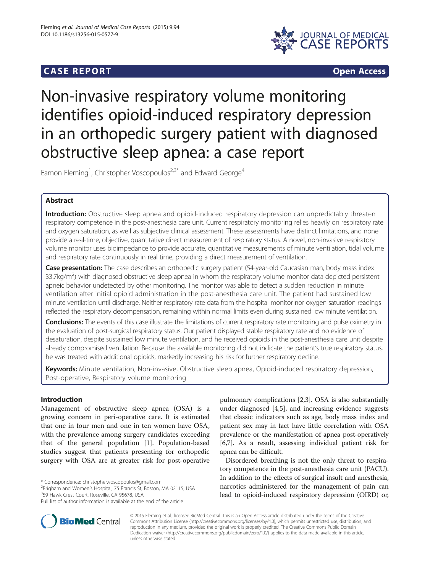# **CASE REPORT CASE REPORT**



# Non-invasive respiratory volume monitoring identifies opioid-induced respiratory depression in an orthopedic surgery patient with diagnosed obstructive sleep apnea: a case report

Eamon Fleming<sup>1</sup>, Christopher Voscopoulos<sup>2,3\*</sup> and Edward George<sup>4</sup>

# Abstract

Introduction: Obstructive sleep apnea and opioid-induced respiratory depression can unpredictably threaten respiratory competence in the post-anesthesia care unit. Current respiratory monitoring relies heavily on respiratory rate and oxygen saturation, as well as subjective clinical assessment. These assessments have distinct limitations, and none provide a real-time, objective, quantitative direct measurement of respiratory status. A novel, non-invasive respiratory volume monitor uses bioimpedance to provide accurate, quantitative measurements of minute ventilation, tidal volume and respiratory rate continuously in real time, providing a direct measurement of ventilation.

Case presentation: The case describes an orthopedic surgery patient (54-year-old Caucasian man, body mass index 33.7kg/m<sup>2</sup>) with diagnosed obstructive sleep apnea in whom the respiratory volume monitor data depicted persistent apneic behavior undetected by other monitoring. The monitor was able to detect a sudden reduction in minute ventilation after initial opioid administration in the post-anesthesia care unit. The patient had sustained low minute ventilation until discharge. Neither respiratory rate data from the hospital monitor nor oxygen saturation readings reflected the respiratory decompensation, remaining within normal limits even during sustained low minute ventilation.

Conclusions: The events of this case illustrate the limitations of current respiratory rate monitoring and pulse oximetry in the evaluation of post-surgical respiratory status. Our patient displayed stable respiratory rate and no evidence of desaturation, despite sustained low minute ventilation, and he received opioids in the post-anesthesia care unit despite already compromised ventilation. Because the available monitoring did not indicate the patient's true respiratory status, he was treated with additional opioids, markedly increasing his risk for further respiratory decline.

Keywords: Minute ventilation, Non-invasive, Obstructive sleep apnea, Opioid-induced respiratory depression, Post-operative, Respiratory volume monitoring

# Introduction

Management of obstructive sleep apnea (OSA) is a growing concern in peri-operative care. It is estimated that one in four men and one in ten women have OSA, with the prevalence among surgery candidates exceeding that of the general population [[1\]](#page-4-0). Population-based studies suggest that patients presenting for orthopedic surgery with OSA are at greater risk for post-operative

\* Correspondence: [christopher.voscopoulos@gmail.com](mailto:christopher.voscopoulos@gmail.com) <sup>2</sup>

<sup>2</sup>Brigham and Women's Hospital, 75 Francis St, Boston, MA 02115, USA <sup>3</sup>59 Hawk Crest Court, Roseville, CA 95678, USA



Disordered breathing is not the only threat to respiratory competence in the post-anesthesia care unit (PACU). In addition to the effects of surgical insult and anesthesia, narcotics administered for the management of pain can lead to opioid-induced respiratory depression (OIRD) or,



© 2015 Fleming et al.; licensee BioMed Central. This is an Open Access article distributed under the terms of the Creative Commons Attribution License [\(http://creativecommons.org/licenses/by/4.0\)](http://creativecommons.org/licenses/by/4.0), which permits unrestricted use, distribution, and reproduction in any medium, provided the original work is properly credited. The Creative Commons Public Domain Dedication waiver [\(http://creativecommons.org/publicdomain/zero/1.0/](http://creativecommons.org/publicdomain/zero/1.0/)) applies to the data made available in this article, unless otherwise stated.

Full list of author information is available at the end of the article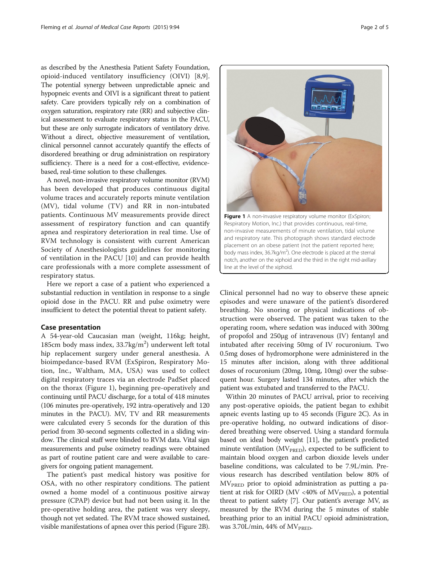as described by the Anesthesia Patient Safety Foundation, opioid-induced ventilatory insufficiency (OIVI) [[8,9](#page-4-0)]. The potential synergy between unpredictable apneic and hypopneic events and OIVI is a significant threat to patient safety. Care providers typically rely on a combination of oxygen saturation, respiratory rate (RR) and subjective clinical assessment to evaluate respiratory status in the PACU, but these are only surrogate indicators of ventilatory drive. Without a direct, objective measurement of ventilation, clinical personnel cannot accurately quantify the effects of disordered breathing or drug administration on respiratory sufficiency. There is a need for a cost-effective, evidencebased, real-time solution to these challenges.

A novel, non-invasive respiratory volume monitor (RVM) has been developed that produces continuous digital volume traces and accurately reports minute ventilation (MV), tidal volume (TV) and RR in non-intubated patients. Continuous MV measurements provide direct assessment of respiratory function and can quantify apnea and respiratory deterioration in real time. Use of RVM technology is consistent with current American Society of Anesthesiologists guidelines for monitoring of ventilation in the PACU [[10](#page-4-0)] and can provide health care professionals with a more complete assessment of respiratory status.

Here we report a case of a patient who experienced a substantial reduction in ventilation in response to a single opioid dose in the PACU. RR and pulse oximetry were insufficient to detect the potential threat to patient safety.

#### Case presentation

A 54-year-old Caucasian man (weight, 116kg; height, 185cm body mass index, 33.7kg/m<sup>2</sup>) underwent left total hip replacement surgery under general anesthesia. A bioimpedance-based RVM (ExSpiron, Respiratory Motion, Inc., Waltham, MA, USA) was used to collect digital respiratory traces via an electrode PadSet placed on the thorax (Figure 1), beginning pre-operatively and continuing until PACU discharge, for a total of 418 minutes (106 minutes pre-operatively, 192 intra-operatively and 120 minutes in the PACU). MV, TV and RR measurements were calculated every 5 seconds for the duration of this period from 30-second segments collected in a sliding window. The clinical staff were blinded to RVM data. Vital sign measurements and pulse oximetry readings were obtained as part of routine patient care and were available to caregivers for ongoing patient management.

The patient's past medical history was positive for OSA, with no other respiratory conditions. The patient owned a home model of a continuous positive airway pressure (CPAP) device but had not been using it. In the pre-operative holding area, the patient was very sleepy, though not yet sedated. The RVM trace showed sustained, visible manifestations of apnea over this period (Figure [2B](#page-2-0)).

Respiratory Motion, Inc.) that provides continuous, real-time, non-invasive measurements of minute ventilation, tidal volume and respiratory rate. This photograph shows standard electrode placement on an obese patient (not the patient reported here; body mass index, 36.7kg/m<sup>2</sup>). One electrode is placed at the sternal notch, another on the xiphoid and the third in the right mid-axillary

line at the level of the xiphoid.

Clinical personnel had no way to observe these apneic episodes and were unaware of the patient's disordered breathing. No snoring or physical indications of obstruction were observed. The patient was taken to the operating room, where sedation was induced with 300mg of propofol and 250μg of intravenous (IV) fentanyl and intubated after receiving 50mg of IV rocuronium. Two 0.5mg doses of hydromorphone were administered in the 15 minutes after incision, along with three additional doses of rocuronium (20mg, 10mg, 10mg) over the subsequent hour. Surgery lasted 134 minutes, after which the patient was extubated and transferred to the PACU.

Within 20 minutes of PACU arrival, prior to receiving any post-operative opioids, the patient began to exhibit apneic events lasting up to 45 seconds (Figure [2C](#page-2-0)). As in pre-operative holding, no outward indications of disordered breathing were observed. Using a standard formula based on ideal body weight [[11](#page-4-0)], the patient's predicted minute ventilation ( $MV<sub>PRED</sub>$ ), expected to be sufficient to maintain blood oxygen and carbon dioxide levels under baseline conditions, was calculated to be 7.9L/min. Previous research has described ventilation below 80% of MVPRED prior to opioid administration as putting a patient at risk for OIRD (MV <40% of  $MV<sub>PRED</sub>$ ), a potential threat to patient safety [\[7](#page-4-0)]. Our patient's average MV, as measured by the RVM during the 5 minutes of stable breathing prior to an initial PACU opioid administration, was  $3.70L/min$ , 44% of  $MV<sub>PRED</sub>$ .

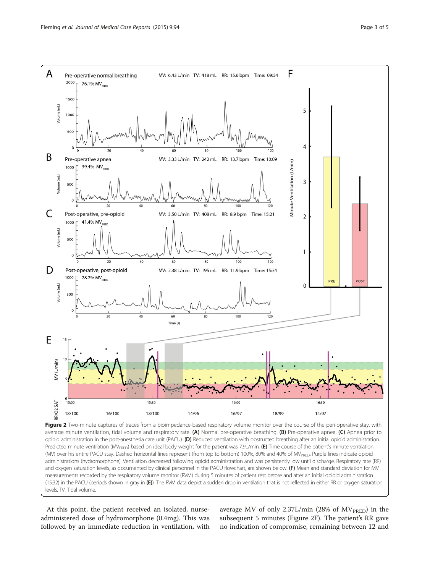<span id="page-2-0"></span>

average minute ventilation, tidal volume and respiratory rate. (A) Normal pre-operative breathing. (B) Pre-operative apnea. (C) Apnea prior to opioid administration in the post-anesthesia care unit (PACU). (D) Reduced ventilation with obstructed breathing after an initial opioid administration. Predicted minute ventilation (MV<sub>PRED</sub>) based on ideal body weight for the patient was 7.9L/min. (E) Time course of the patient's minute ventilation (MV) over his entire PACU stay. Dashed horizontal lines represent (from top to bottom) 100%, 80% and 40% of MV<sub>PRED</sub>. Purple lines indicate opioid administrations (hydromorphone). Ventilation decreased following opioid administration and was persistently low until discharge. Respiratory rate (RR) and oxygen saturation levels, as documented by clinical personnel in the PACU flowchart, are shown below. (F) Mean and standard deviation for MV measurements recorded by the respiratory volume monitor (RVM) during 5 minutes of patient rest before and after an initial opioid administration (15:32) in the PACU (periods shown in gray in (E)). The RVM data depict a sudden drop in ventilation that is not reflected in either RR or oxygen saturation levels. TV, Tidal volume.

At this point, the patient received an isolated, nurseadministered dose of hydromorphone (0.4mg). This was followed by an immediate reduction in ventilation, with

average MV of only 2.37L/min (28% of  $MV<sub>PRED</sub>$ ) in the subsequent 5 minutes (Figure 2F). The patient's RR gave no indication of compromise, remaining between 12 and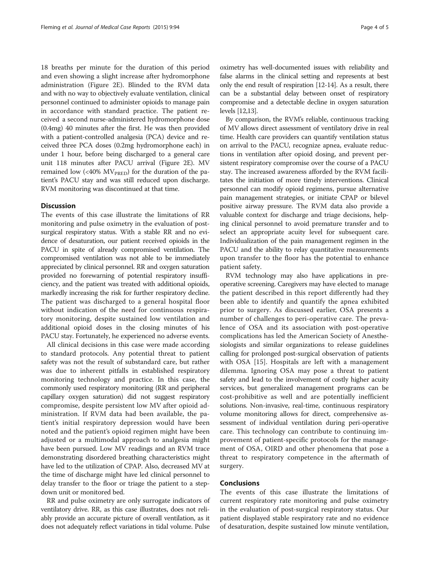18 breaths per minute for the duration of this period and even showing a slight increase after hydromorphone administration (Figure [2](#page-2-0)E). Blinded to the RVM data and with no way to objectively evaluate ventilation, clinical personnel continued to administer opioids to manage pain in accordance with standard practice. The patient received a second nurse-administered hydromorphone dose (0.4mg) 40 minutes after the first. He was then provided with a patient-controlled analgesia (PCA) device and received three PCA doses (0.2mg hydromorphone each) in under 1 hour, before being discharged to a general care unit 118 minutes after PACU arrival (Figure [2E](#page-2-0)). MV remained low  $\left(\frac{40\%}{W_{PRED}}\right)$  for the duration of the patient's PACU stay and was still reduced upon discharge. RVM monitoring was discontinued at that time.

### **Discussion**

The events of this case illustrate the limitations of RR monitoring and pulse oximetry in the evaluation of postsurgical respiratory status. With a stable RR and no evidence of desaturation, our patient received opioids in the PACU in spite of already compromised ventilation. The compromised ventilation was not able to be immediately appreciated by clinical personnel. RR and oxygen saturation provided no forewarning of potential respiratory insufficiency, and the patient was treated with additional opioids, markedly increasing the risk for further respiratory decline. The patient was discharged to a general hospital floor without indication of the need for continuous respiratory monitoring, despite sustained low ventilation and additional opioid doses in the closing minutes of his PACU stay. Fortunately, he experienced no adverse events.

All clinical decisions in this case were made according to standard protocols. Any potential threat to patient safety was not the result of substandard care, but rather was due to inherent pitfalls in established respiratory monitoring technology and practice. In this case, the commonly used respiratory monitoring (RR and peripheral capillary oxygen saturation) did not suggest respiratory compromise, despite persistent low MV after opioid administration. If RVM data had been available, the patient's initial respiratory depression would have been noted and the patient's opioid regimen might have been adjusted or a multimodal approach to analgesia might have been pursued. Low MV readings and an RVM trace demonstrating disordered breathing characteristics might have led to the utilization of CPAP. Also, decreased MV at the time of discharge might have led clinical personnel to delay transfer to the floor or triage the patient to a stepdown unit or monitored bed.

RR and pulse oximetry are only surrogate indicators of ventilatory drive. RR, as this case illustrates, does not reliably provide an accurate picture of overall ventilation, as it does not adequately reflect variations in tidal volume. Pulse

oximetry has well-documented issues with reliability and false alarms in the clinical setting and represents at best only the end result of respiration [[12-14\]](#page-4-0). As a result, there can be a substantial delay between onset of respiratory compromise and a detectable decline in oxygen saturation levels [\[12,13](#page-4-0)].

By comparison, the RVM's reliable, continuous tracking of MV allows direct assessment of ventilatory drive in real time. Health care providers can quantify ventilation status on arrival to the PACU, recognize apnea, evaluate reductions in ventilation after opioid dosing, and prevent persistent respiratory compromise over the course of a PACU stay. The increased awareness afforded by the RVM facilitates the initiation of more timely interventions. Clinical personnel can modify opioid regimens, pursue alternative pain management strategies, or initiate CPAP or bilevel positive airway pressure. The RVM data also provide a valuable context for discharge and triage decisions, helping clinical personnel to avoid premature transfer and to select an appropriate acuity level for subsequent care. Individualization of the pain management regimen in the PACU and the ability to relay quantitative measurements upon transfer to the floor has the potential to enhance patient safety.

RVM technology may also have applications in preoperative screening. Caregivers may have elected to manage the patient described in this report differently had they been able to identify and quantify the apnea exhibited prior to surgery. As discussed earlier, OSA presents a number of challenges to peri-operative care. The prevalence of OSA and its association with post-operative complications has led the American Society of Anesthesiologists and similar organizations to release guidelines calling for prolonged post-surgical observation of patients with OSA [[15](#page-4-0)]. Hospitals are left with a management dilemma. Ignoring OSA may pose a threat to patient safety and lead to the involvement of costly higher acuity services, but generalized management programs can be cost-prohibitive as well and are potentially inefficient solutions. Non-invasive, real-time, continuous respiratory volume monitoring allows for direct, comprehensive assessment of individual ventilation during peri-operative care. This technology can contribute to continuing improvement of patient-specific protocols for the management of OSA, OIRD and other phenomena that pose a threat to respiratory competence in the aftermath of surgery.

## Conclusions

The events of this case illustrate the limitations of current respiratory rate monitoring and pulse oximetry in the evaluation of post-surgical respiratory status. Our patient displayed stable respiratory rate and no evidence of desaturation, despite sustained low minute ventilation,